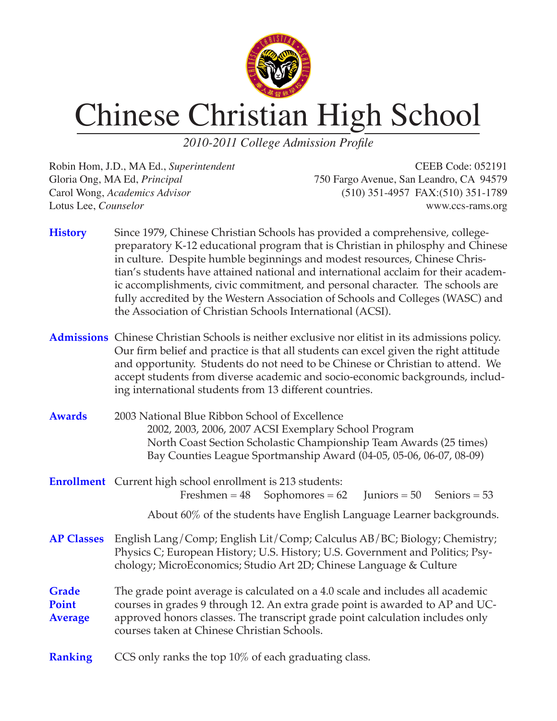

## Chinese Christian High School

*2010-2011 College Admission Profile*

Robin Hom, J.D., MA Ed., *Superintendent* CEEB Code: 052191 Gloria Ong, MA Ed, *Principal* 750 Fargo Avenue, San Leandro, CA 94579 Carol Wong, *Academics Advisor* (510) 351-4957 FAX:(510) 351-1789 Lotus Lee, *Counselor* www.ccs-rams.org

- **History** Since 1979, Chinese Christian Schools has provided a comprehensive, collegepreparatory K-12 educational program that is Christian in philosphy and Chinese in culture. Despite humble beginnings and modest resources, Chinese Christian's students have attained national and international acclaim for their academic accomplishments, civic commitment, and personal character. The schools are fully accredited by the Western Association of Schools and Colleges (WASC) and the Association of Christian Schools International (ACSI).
- **Admissions** Chinese Christian Schools is neither exclusive nor elitist in its admissions policy. Our firm belief and practice is that all students can excel given the right attitude and opportunity. Students do not need to be Chinese or Christian to attend. We accept students from diverse academic and socio-economic backgrounds, including international students from 13 different countries.
- **Awards** 2003 National Blue Ribbon School of Excellence 2002, 2003, 2006, 2007 ACSI Exemplary School Program North Coast Section Scholastic Championship Team Awards (25 times) Bay Counties League Sportmanship Award (04-05, 05-06, 06-07, 08-09)
- **Enrollment** Current high school enrollment is 213 students: Freshmen =  $48$  Sophomores =  $62$  Juniors =  $50$  Seniors =  $53$ 
	- About 60% of the students have English Language Learner backgrounds.
- **AP Classes** English Lang/Comp; English Lit/Comp; Calculus AB/BC; Biology; Chemistry; Physics C; European History; U.S. History; U.S. Government and Politics; Psychology; MicroEconomics; Studio Art 2D; Chinese Language & Culture
- **Grade** The grade point average is calculated on a 4.0 scale and includes all academic **Point** courses in grades 9 through 12. An extra grade point is awarded to AP and UC-**Average** approved honors classes. The transcript grade point calculation includes only courses taken at Chinese Christian Schools.
- **Ranking** CCS only ranks the top 10% of each graduating class.